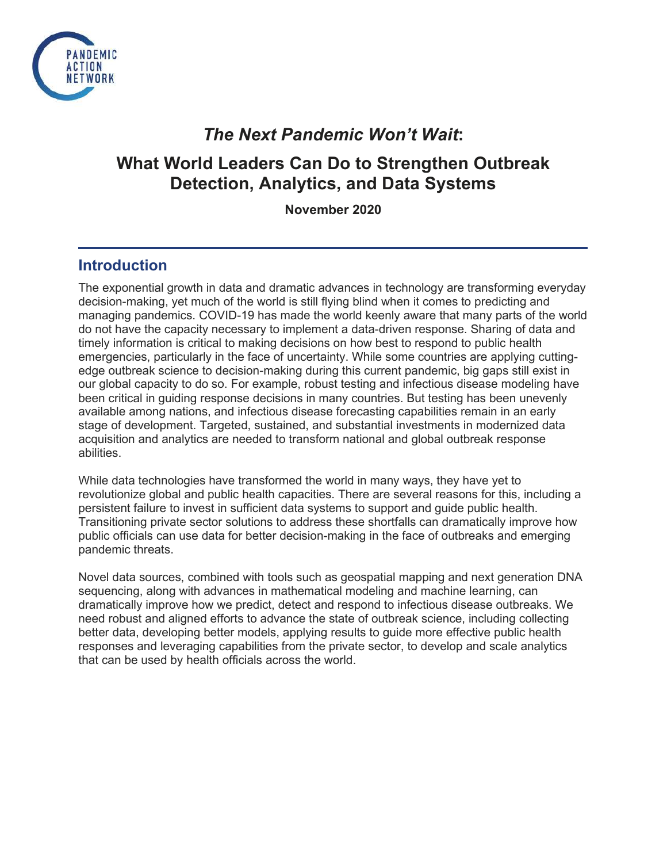

# *The Next Pandemic Won't Wait***:**

# **What World Leaders Can Do to Strengthen Outbreak Detection, Analytics, and Data Systems**

**November 2020**

## **Introduction**

The exponential growth in data and dramatic advances in technology are transforming everyday decision-making, yet much of the world is still flying blind when it comes to predicting and managing pandemics. COVID-19 has made the world keenly aware that many parts of the world do not have the capacity necessary to implement a data-driven response. Sharing of data and timely information is critical to making decisions on how best to respond to public health emergencies, particularly in the face of uncertainty. While some countries are applying cuttingedge outbreak science to decision-making during this current pandemic, big gaps still exist in our global capacity to do so. For example, robust testing and infectious disease modeling have been critical in guiding response decisions in many countries. But testing has been unevenly available among nations, and infectious disease forecasting capabilities remain in an early stage of development. Targeted, sustained, and substantial investments in modernized data acquisition and analytics are needed to transform national and global outbreak response abilities.

While data technologies have transformed the world in many ways, they have yet to revolutionize global and public health capacities. There are several reasons for this, including a persistent failure to invest in sufficient data systems to support and guide public health. Transitioning private sector solutions to address these shortfalls can dramatically improve how public officials can use data for better decision-making in the face of outbreaks and emerging pandemic threats.

Novel data sources, combined with tools such as geospatial mapping and next generation DNA sequencing, along with advances in mathematical modeling and machine learning, can dramatically improve how we predict, detect and respond to infectious disease outbreaks. We need robust and aligned efforts to advance the state of outbreak science, including collecting better data, developing better models, applying results to guide more effective public health responses and leveraging capabilities from the private sector, to develop and scale analytics that can be used by health officials across the world.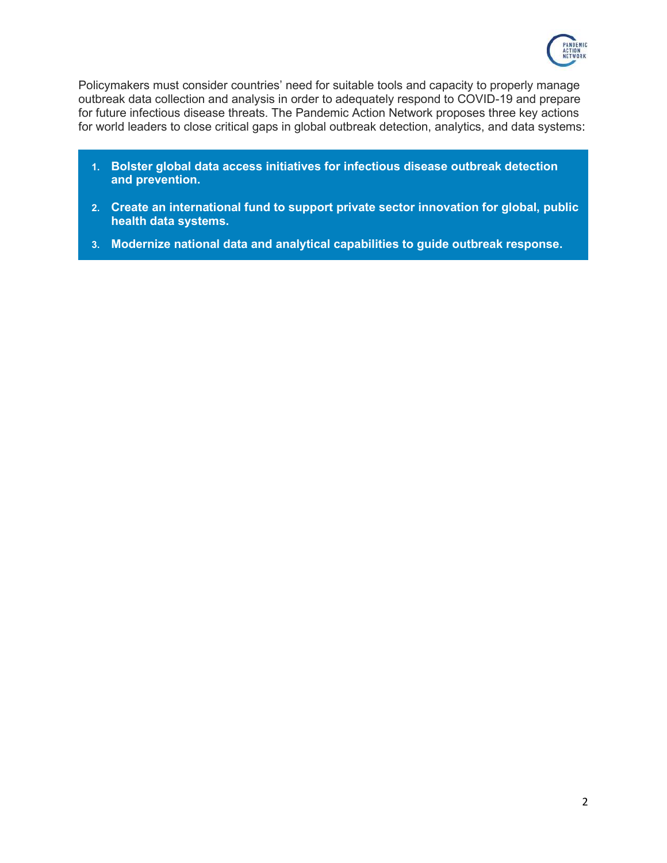

Policymakers must consider countries' need for suitable tools and capacity to properly manage outbreak data collection and analysis in order to adequately respond to COVID-19 and prepare for future infectious disease threats. The Pandemic Action Network proposes three key actions for world leaders to close critical gaps in global outbreak detection, analytics, and data systems:

- **1. Bolster global data access initiatives for infectious disease outbreak detection and prevention.**
- **2. Create an international fund to support private sector innovation for global, public health data systems.**
- **3. Modernize national data and analytical capabilities to guide outbreak response.**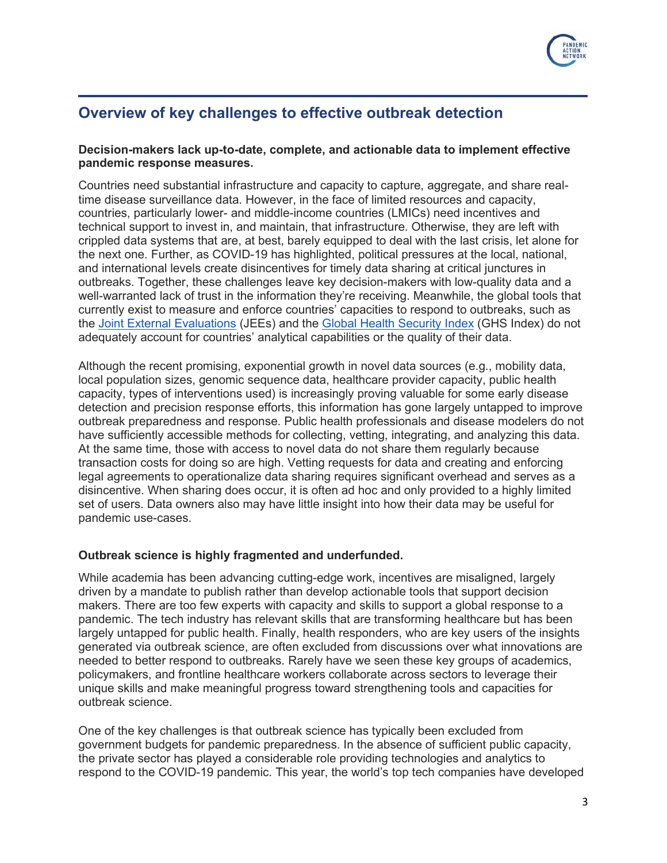

# **Overview of key challenges to effective outbreak detection**

#### **Decision-makers lack up-to-date, complete, and actionable data to implement effective pandemic response measures.**

Countries need substantial infrastructure and capacity to capture, aggregate, and share realtime disease surveillance data. However, in the face of limited resources and capacity, countries, particularly lower- and middle-income countries (LMICs) need incentives and technical support to invest in, and maintain, that infrastructure. Otherwise, they are left with crippled data systems that are, at best, barely equipped to deal with the last crisis, let alone for the next one. Further, as COVID-19 has highlighted, political pressures at the local, national, and international levels create disincentives for timely data sharing at critical junctures in outbreaks. Together, these challenges leave key decision-makers with low-quality data and a well-warranted lack of trust in the information they're receiving. Meanwhile, the global tools that currently exist to measure and enforce countries' capacities to respond to outbreaks, such as the [Joint External Evaluations](https://www.who.int/ihr/procedures/joint-external-evaluations/en/) (JEEs) and the [Global Health Security Index](https://www.ghsindex.org/) (GHS Index) do not adequately account for countries' analytical capabilities or the quality of their data.

Although the recent promising, exponential growth in novel data sources (e.g., mobility data, local population sizes, genomic sequence data, healthcare provider capacity, public health capacity, types of interventions used) is increasingly proving valuable for some early disease detection and precision response efforts, this information has gone largely untapped to improve outbreak preparedness and response. Public health professionals and disease modelers do not have sufficiently accessible methods for collecting, vetting, integrating, and analyzing this data. At the same time, those with access to novel data do not share them regularly because transaction costs for doing so are high. Vetting requests for data and creating and enforcing legal agreements to operationalize data sharing requires significant overhead and serves as a disincentive. When sharing does occur, it is often ad hoc and only provided to a highly limited set of users. Data owners also may have little insight into how their data may be useful for pandemic use-cases.

#### **Outbreak science is highly fragmented and underfunded.**

While academia has been advancing cutting-edge work, incentives are misaligned, largely driven by a mandate to publish rather than develop actionable tools that support decision makers. There are too few experts with capacity and skills to support a global response to a pandemic. The tech industry has relevant skills that are transforming healthcare but has been largely untapped for public health. Finally, health responders, who are key users of the insights generated via outbreak science, are often excluded from discussions over what innovations are needed to better respond to outbreaks. Rarely have we seen these key groups of academics, policymakers, and frontline healthcare workers collaborate across sectors to leverage their unique skills and make meaningful progress toward strengthening tools and capacities for outbreak science.

One of the key challenges is that outbreak science has typically been excluded from government budgets for pandemic preparedness. In the absence of sufficient public capacity, the private sector has played a considerable role providing technologies and analytics to respond to the COVID-19 pandemic. This year, the world's top tech companies have developed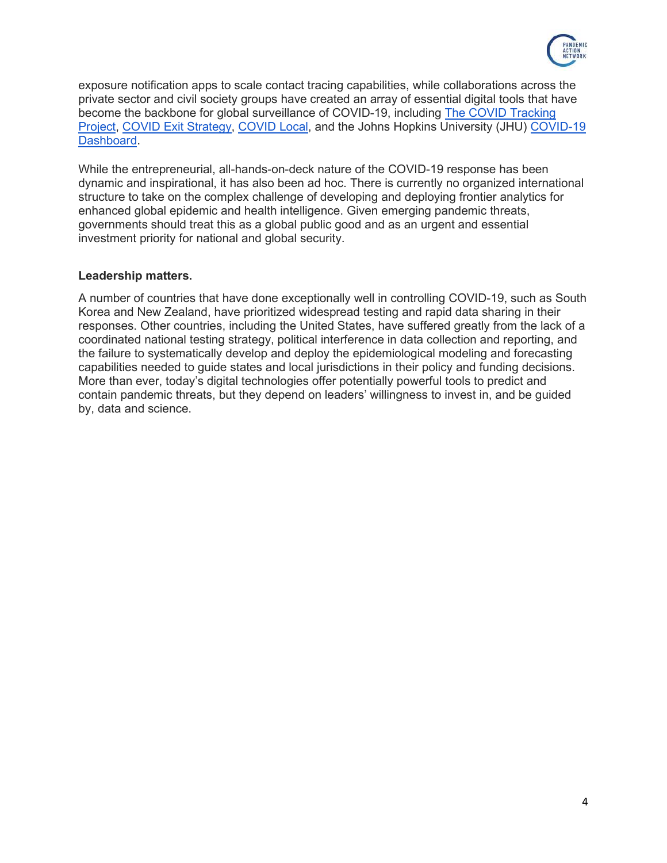

exposure notification apps to scale contact tracing capabilities, while collaborations across the private sector and civil society groups have created an array of essential digital tools that have become the backbone for global surveillance of COVID-19, including [The COVID Tracking](https://covidtracking.com/)  [Project,](https://covidtracking.com/) [COVID Exit Strategy,](https://www.covidexitstrategy.org/) [COVID Local,](https://www.covidlocal.org/) and the Johns Hopkins University (JHU) [COVID-19](https://coronavirus.jhu.edu/map.html)  [Dashboard.](https://coronavirus.jhu.edu/map.html)

While the entrepreneurial, all-hands-on-deck nature of the COVID-19 response has been dynamic and inspirational, it has also been ad hoc. There is currently no organized international structure to take on the complex challenge of developing and deploying frontier analytics for enhanced global epidemic and health intelligence. Given emerging pandemic threats, governments should treat this as a global public good and as an urgent and essential investment priority for national and global security.

#### **Leadership matters.**

A number of countries that have done exceptionally well in controlling COVID-19, such as South Korea and New Zealand, have prioritized widespread testing and rapid data sharing in their responses. Other countries, including the United States, have suffered greatly from the lack of a coordinated national testing strategy, political interference in data collection and reporting, and the failure to systematically develop and deploy the epidemiological modeling and forecasting capabilities needed to guide states and local jurisdictions in their policy and funding decisions. More than ever, today's digital technologies offer potentially powerful tools to predict and contain pandemic threats, but they depend on leaders' willingness to invest in, and be guided by, data and science.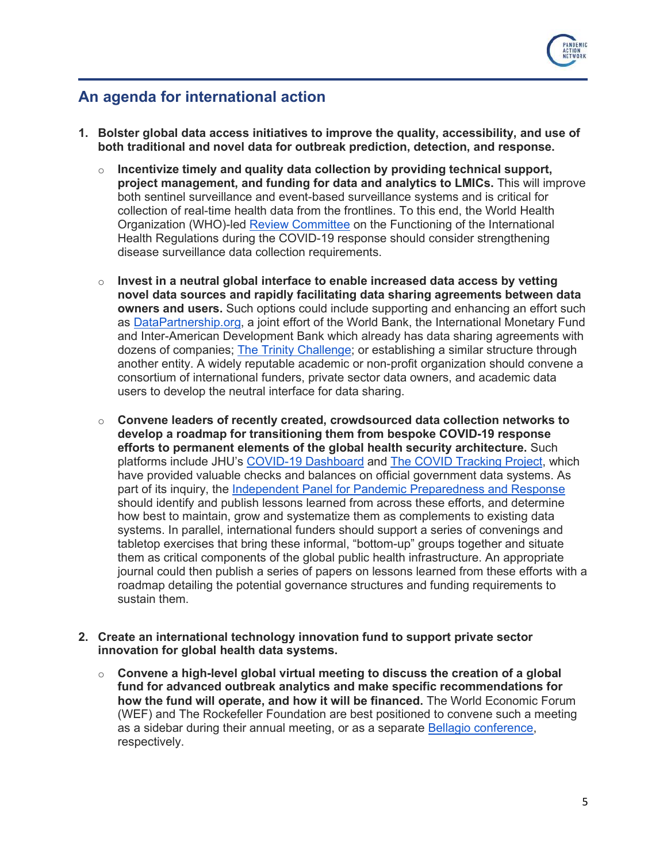

## **An agenda for international action**

- **1. Bolster global data access initiatives to improve the quality, accessibility, and use of both traditional and novel data for outbreak prediction, detection, and response.** 
	- $\circ$  **Incentivize timely and quality data collection by providing technical support, project management, and funding for data and analytics to LMICs.** This will improve both sentinel surveillance and event-based surveillance systems and is critical for collection of real-time health data from the frontlines. To this end, the World Health Organization (WHO)-led [Review Committee](https://www.who.int/teams/ihr/ihr-review-committees/covid-19) on the Functioning of the International Health Regulations during the COVID-19 response should consider strengthening disease surveillance data collection requirements.
	- o **Invest in a neutral global interface to enable increased data access by vetting novel data sources and rapidly facilitating data sharing agreements between data owners and users.** Such options could include supporting and enhancing an effort such as [DataPartnership.org,](https://datapartnership.org/) a joint effort of the World Bank, the International Monetary Fund and Inter-American Development Bank which already has data sharing agreements with dozens of companies; [The Trinity Challenge;](https://thetrinitychallenge.org/) or establishing a similar structure through another entity. A widely reputable academic or non-profit organization should convene a consortium of international funders, private sector data owners, and academic data users to develop the neutral interface for data sharing.
	- o **Convene leaders of recently created, crowdsourced data collection networks to develop a roadmap for transitioning them from bespoke COVID-19 response efforts to permanent elements of the global health security architecture.** Such platforms include JHU's [COVID-19 Dashboard](https://coronavirus.jhu.edu/map.html) and The COVID [Tracking Project,](https://covidtracking.com/) which have provided valuable checks and balances on official government data systems. As part of its inquiry, the [Independent Panel for Pandemic Preparedness and Response](https://theindependentpanel.org/) should identify and publish lessons learned from across these efforts, and determine how best to maintain, grow and systematize them as complements to existing data systems. In parallel, international funders should support a series of convenings and tabletop exercises that bring these informal, "bottom-up" groups together and situate them as critical components of the global public health infrastructure. An appropriate journal could then publish a series of papers on lessons learned from these efforts with a roadmap detailing the potential governance structures and funding requirements to sustain them.
- **2. Create an international technology innovation fund to support private sector innovation for global health data systems.**
	- o **Convene a high-level global virtual meeting to discuss the creation of a global fund for advanced outbreak analytics and make specific recommendations for how the fund will operate, and how it will be financed.** The World Economic Forum (WEF) and The Rockefeller Foundation are best positioned to convene such a meeting as a sidebar during their annual meeting, or as a separate [Bellagio conference,](https://www.rockefellerfoundation.org/bellagio-center/conferences/) respectively.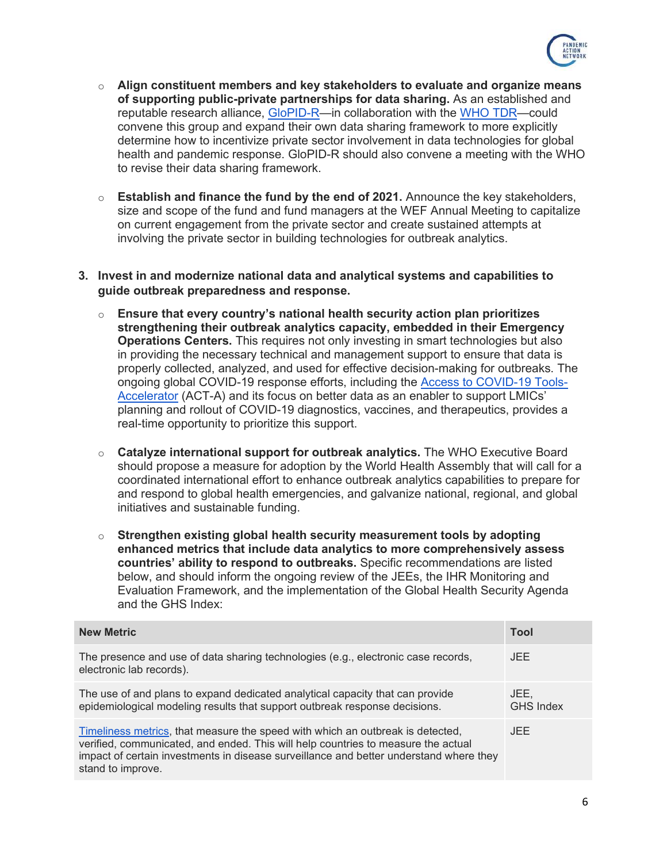

- o **Align constituent members and key stakeholders to evaluate and organize means of supporting public-private partnerships for data sharing.** As an established and reputable research alliance, [GloPID-R—](https://www.glopid-r.org/)in collaboration with the [WHO TDR—](https://www.who.int/tdr/about/tdr-operations-during-COVID-19-outbreak/en/)could convene this group and expand their own data sharing framework to more explicitly determine how to incentivize private sector involvement in data technologies for global health and pandemic response. GloPID-R should also convene a meeting with the WHO to revise their data sharing framework.
- o **Establish and finance the fund by the end of 2021.** Announce the key stakeholders, size and scope of the fund and fund managers at the WEF Annual Meeting to capitalize on current engagement from the private sector and create sustained attempts at involving the private sector in building technologies for outbreak analytics.

#### **3. Invest in and modernize national data and analytical systems and capabilities to guide outbreak preparedness and response.**

- o **Ensure that every country's national health security action plan prioritizes strengthening their outbreak analytics capacity, embedded in their Emergency Operations Centers.** This requires not only investing in smart technologies but also in providing the necessary technical and management support to ensure that data is properly collected, analyzed, and used for effective decision-making for outbreaks. The ongoing global COVID-19 response efforts, including the [Access to COVID-19 Tools-](https://www.who.int/news-room/detail/26-06-2020-act-accelerator-update)[Accelerator](https://www.who.int/news-room/detail/26-06-2020-act-accelerator-update) (ACT-A) and its focus on better data as an enabler to support LMICs' planning and rollout of COVID-19 diagnostics, vaccines, and therapeutics, provides a real-time opportunity to prioritize this support.
- o **Catalyze international support for outbreak analytics.** The WHO Executive Board should propose a measure for adoption by the World Health Assembly that will call for a coordinated international effort to enhance outbreak analytics capabilities to prepare for and respond to global health emergencies, and galvanize national, regional, and global initiatives and sustainable funding.
- o **Strengthen existing global health security measurement tools by adopting enhanced metrics that include data analytics to more comprehensively assess countries' ability to respond to outbreaks.** Specific recommendations are listed below, and should inform the ongoing review of the JEEs, the IHR Monitoring and Evaluation Framework, and the implementation of the Global Health Security Agenda and the GHS Index:

| <b>New Metric</b>                                                                                                                                                                                                                                                                  | <b>Tool</b>              |
|------------------------------------------------------------------------------------------------------------------------------------------------------------------------------------------------------------------------------------------------------------------------------------|--------------------------|
| The presence and use of data sharing technologies (e.g., electronic case records,<br>electronic lab records).                                                                                                                                                                      | JEE.                     |
| The use of and plans to expand dedicated analytical capacity that can provide<br>epidemiological modeling results that support outbreak response decisions.                                                                                                                        | JEE.<br><b>GHS Index</b> |
| Timeliness metrics, that measure the speed with which an outbreak is detected,<br>verified, communicated, and ended. This will help countries to measure the actual<br>impact of certain investments in disease surveillance and better understand where they<br>stand to improve. | JEE.                     |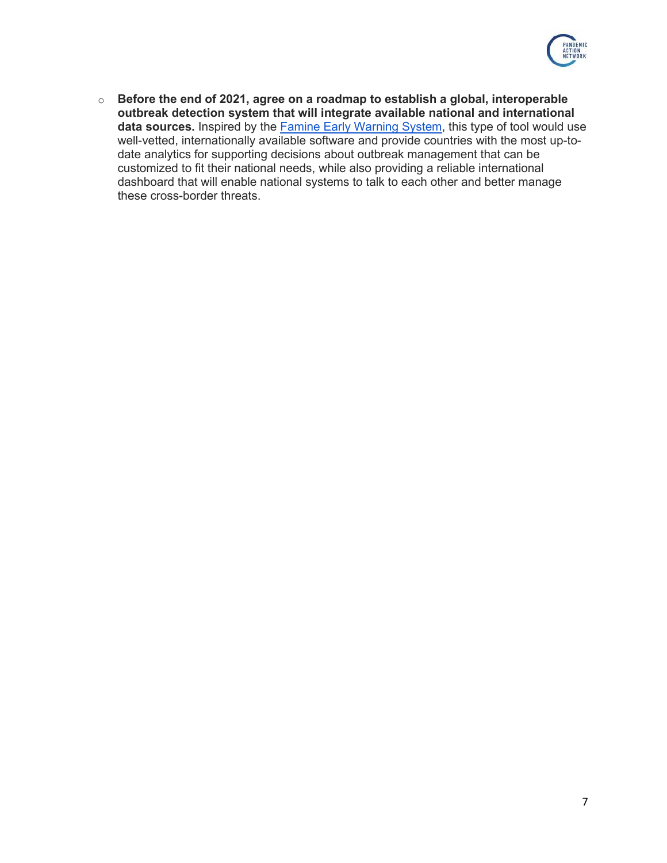

o **Before the end of 2021, agree on a roadmap to establish a global, interoperable outbreak detection system that will integrate available national and international**  data sources. Inspired by the **Famine Early Warning System**, this type of tool would use well-vetted, internationally available software and provide countries with the most up-todate analytics for supporting decisions about outbreak management that can be customized to fit their national needs, while also providing a reliable international dashboard that will enable national systems to talk to each other and better manage these cross-border threats.